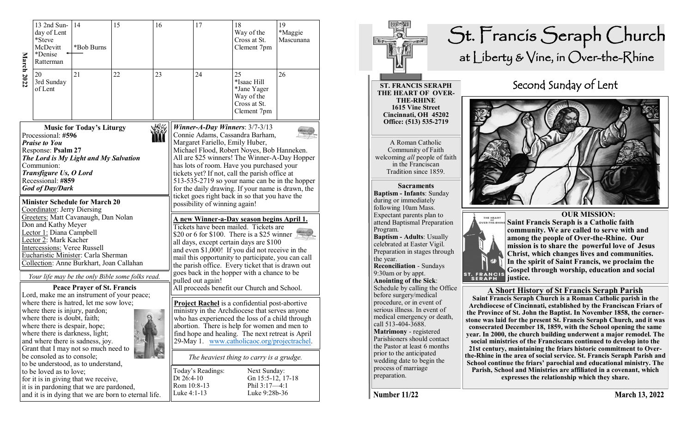| <b>March 2022</b> | 13 2nd Sun-<br>day of Lent<br>*Steve<br>McDevitt<br>*Denise<br>Ratterman                                                                                                                                                                                                                                          | 14<br>*Bob Burns                   | 15                                                   | 16                                                                                                                                                                                                                                                                                                                                                                                                                                   |                   | 17                                                                  | 18<br>Way of the<br>Cross at St.<br>Clement 7pm                               | 19<br>*Maggie<br>Mascunana |
|-------------------|-------------------------------------------------------------------------------------------------------------------------------------------------------------------------------------------------------------------------------------------------------------------------------------------------------------------|------------------------------------|------------------------------------------------------|--------------------------------------------------------------------------------------------------------------------------------------------------------------------------------------------------------------------------------------------------------------------------------------------------------------------------------------------------------------------------------------------------------------------------------------|-------------------|---------------------------------------------------------------------|-------------------------------------------------------------------------------|----------------------------|
|                   | 20<br>3rd Sunday<br>of Lent                                                                                                                                                                                                                                                                                       | 21                                 | 22                                                   | 23                                                                                                                                                                                                                                                                                                                                                                                                                                   |                   | 24                                                                  | 25<br>*Isaac Hill<br>*Jane Yager<br>Way of the<br>Cross at St.<br>Clement 7pm | 26                         |
|                   | Processional: #596<br><b>Praise to You</b><br>Response: Psalm 27<br>The Lord is My Light and My Salvation<br>Communion:<br>Transfigure Us, O Lord<br>Recessional: #859<br><b>God of Day/Dark</b>                                                                                                                  | <b>Music for Today's Liturgy</b>   |                                                      | Winner-A-Day Winners: $3/7-3/13$<br>Connie Adams, Cassandra Barham,<br>Margaret Fariello, Emily Huber,<br>Michael Flood, Robert Noyes, Bob Hanneken.<br>All are \$25 winners! The Winner-A-Day Hopper<br>has lots of room. Have you purchased your<br>tickets yet? If not, call the parish office at<br>513-535-2719 so your name can be in the hopper<br>for the daily drawing. If your name is drawn, the                          |                   |                                                                     |                                                                               |                            |
|                   | <b>Minister Schedule for March 20</b><br>Coordinator: Jerry Diersing<br>Greeters: Matt Cavanaugh, Dan Nolan<br>Don and Kathy Meyer<br>Lector 1: Diana Campbell<br>Lector 2: Mark Kacher<br><b>Intercessions: Veree Russell</b><br>Eucharistic Minister: Carla Sherman<br>Collection: Anne Burkhart, Joan Callahan |                                    |                                                      | ticket goes right back in so that you have the<br>possibility of winning again!<br><u>A new Winner-a-Day season begins April 1.</u><br>Tickets have been mailed. Tickets are<br>\$20 or 6 for \$100. There is a \$25 winner<br>all days, except certain days are \$100<br>and even \$1,000! If you did not receive in the<br>mail this opportunity to participate, you can call<br>the parish office. Every ticket that is drawn out |                   |                                                                     |                                                                               |                            |
|                   |                                                                                                                                                                                                                                                                                                                   | <b>Peace Prayer of St. Francis</b> | Your life may be the only Bible some folks read.     | goes back in the hopper with a chance to be<br>pulled out again!<br>All proceeds benefit our Church and School.                                                                                                                                                                                                                                                                                                                      |                   |                                                                     |                                                                               |                            |
|                   | Lord, make me an instrument of your peace;<br>where there is hatred, let me sow love;<br>where there is injury, pardon;<br>where there is doubt, faith;<br>where there is despair, hope;<br>where there is darkness, light;<br>and where there is sadness, joy.<br>Grant that I may not so much need to           |                                    |                                                      | <b>Project Rachel</b> is a confidential post-abortive<br>ministry in the Archdiocese that serves anyone<br>who has experienced the loss of a child through<br>abortion. There is help for women and men to<br>find hope and healing. The next retreat is April<br>29-May 1. www.catholicaoc.org/projectrachel.                                                                                                                       |                   |                                                                     |                                                                               |                            |
|                   | be consoled as to console;<br>to be understood, as to understand,                                                                                                                                                                                                                                                 |                                    |                                                      | The heaviest thing to carry is a grudge.                                                                                                                                                                                                                                                                                                                                                                                             |                   |                                                                     |                                                                               |                            |
|                   | to be loved as to love;<br>for it is in giving that we receive,<br>it is in pardoning that we are pardoned,                                                                                                                                                                                                       |                                    | and it is in dying that we are born to eternal life. | Dt 26:4-10<br>Rom 10:8-13<br>Luke 4:1-13                                                                                                                                                                                                                                                                                                                                                                                             | Today's Readings: | Next Sunday:<br>Gn 15:5-12, 17-18<br>Phil 3:17-4:1<br>Luke 9:28b-36 |                                                                               |                            |



Number 11/22